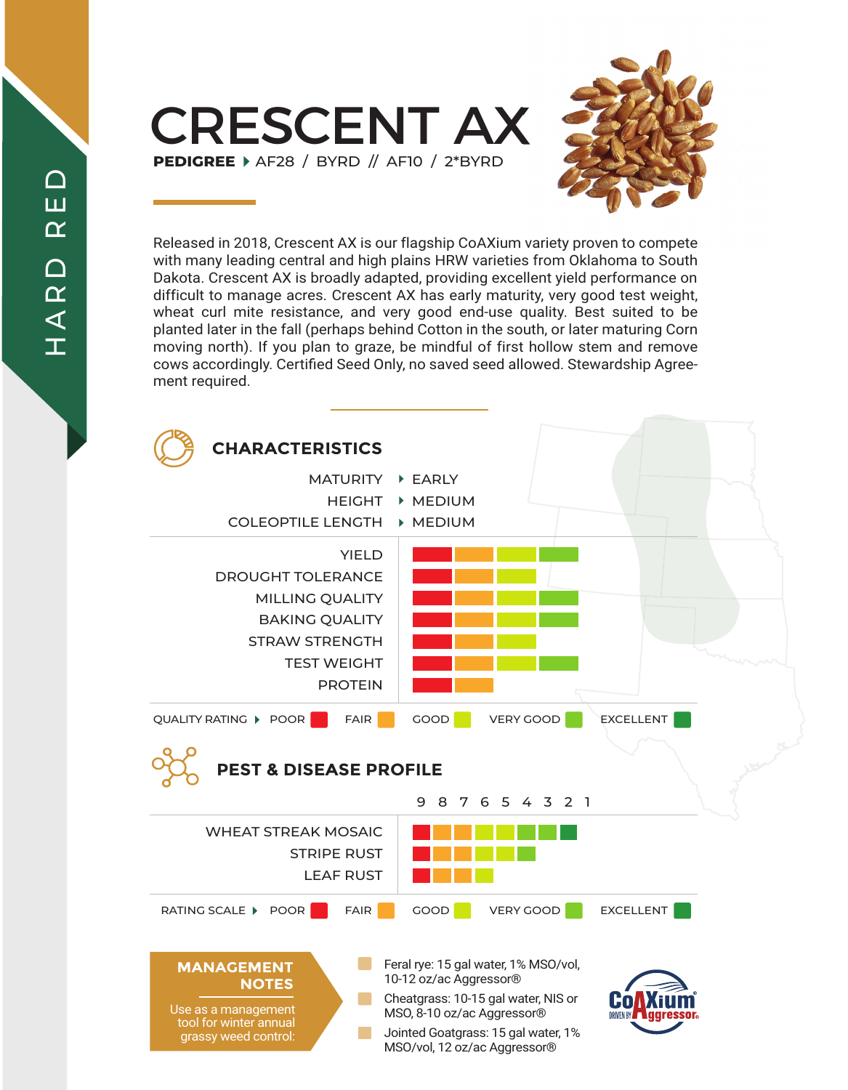CRESCENT AX **PEDIGREE** AF28 / BYRD // AF10 / 2\*BYRD



Released in 2018, Crescent AX is our flagship CoAXium variety proven to compete with many leading central and high plains HRW varieties from Oklahoma to South Dakota. Crescent AX is broadly adapted, providing excellent yield performance on difficult to manage acres. Crescent AX has early maturity, very good test weight, wheat curl mite resistance, and very good end-use quality. Best suited to be planted later in the fall (perhaps behind Cotton in the south, or later maturing Corn moving north). If you plan to graze, be mindful of first hollow stem and remove cows accordingly. Certified Seed Only, no saved seed allowed. Stewardship Agreement required.